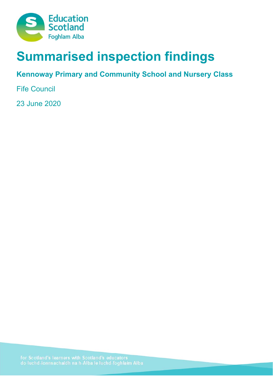

# **Summarised inspection findings**

**Kennoway Primary and Community School and Nursery Class** 

Fife Council

23 June 2020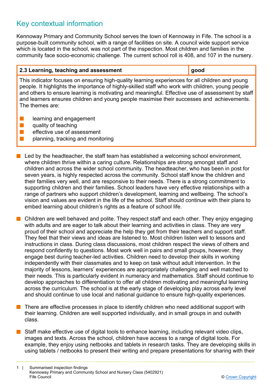# Key contextual information

Kennoway Primary and Community School serves the town of Kennoway in Fife. The school is a purpose-built community school, with a range of facilities on site. A council wide support service which is located in the school, was not part of the inspection. Most children and families in the community face socio-economic challenge. The current school roll is 408, and 107 in the nursery.

# **2.3 Learning, teaching and assessment good**

This indicator focuses on ensuring high-quality learning experiences for all children and young people. It highlights the importance of highly-skilled staff who work with children, young people and others to ensure learning is motivating and meaningful. Effective use of assessment by staff and learners ensures children and young people maximise their successes and achievements. The themes are:

- $\blacksquare$  learning and engagement
- $\blacksquare$  quality of teaching
- $\blacksquare$  effective use of assessment
- $\blacksquare$  planning, tracking and monitoring
- $\blacksquare$  Led by the headteacher, the staff team has established a welcoming school environment, where children thrive within a caring culture. Relationships are strong amongst staff and children and across the wider school community. The headteacher, who has been in post for seven years, is highly respected across the community. School staff know the children and their families very well, and are responsive to their needs. There is a strong commitment to supporting children and their families. School leaders have very effective relationships with a range of partners who support children's development, learning and wellbeing. The school's vision and values are evident in the life of the school. Staff should continue with their plans to embed learning about children's rights as a feature of school life.
- n Children are well behaved and polite. They respect staff and each other. They enjoy engaging with adults and are eager to talk about their learning and activities in class. They are very proud of their school and appreciate the help they get from their teachers and support staff. They feel that their views and ideas are listened to. Most children listen well to lessons and instructions in class. During class discussions, most children respect the views of others and respond confidently to questions. Most work well in pairs and small groups, however, they engage best during teacher-led activities. Children need to develop their skills in working independently with their classmates and to keep on task without adult intervention. In the majority of lessons, learners' experiences are appropriately challenging and well matched to their needs. This is particularly evident in numeracy and mathematics. Staff should continue to develop approaches to differentiation to offer all children motivating and meaningful learning across the curriculum. The school is at the early stage of developing play across early level and should continue to use local and national guidance to ensure high-quality experiences.
- n There are effective processes in place to identify children who need additional support with their learning. Children are well supported individually, and in small groups in and outwith class.
- Staff make effective use of digital tools to enhance learning, including relevant video clips, images and texts. Across the school, children have access to a range of digital tools. For example, they enjoy using netbooks and tablets in research tasks. They are developing skills in using tablets / netbooks to present their writing and prepare presentations for sharing with their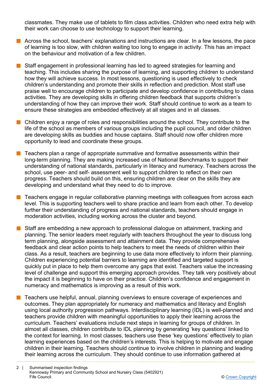classmates. They make use of tablets to film class activities. Children who need extra help with their work can choose to use technology to support their learning.

- n Across the school, teachers' explanations and instructions are clear. In a few lessons, the pace of learning is too slow, with children waiting too long to engage in activity. This has an impact on the behaviour and motivation of a few children.
- Staff engagement in professional learning has led to agreed strategies for learning and teaching. This includes sharing the purpose of learning, and supporting children to understand how they will achieve success. In most lessons, questioning is used effectively to check children's understanding and promote their skills in reflection and prediction. Most staff use praise well to encourage children to participate and develop confidence in contributing to class activities. They are developing skills in offering children feedback that supports children's understanding of how they can improve their work. Staff should continue to work as a team to ensure these strategies are embedded effectively at all stages and in all classes.
- $\blacksquare$  Children enjoy a range of roles and responsibilities around the school. They contribute to the life of the school as members of various groups including the pupil council, and older children are developing skills as buddies and house captains. Staff should now offer children more opportunity to lead and coordinate these groups.
- n Teachers plan a range of appropriate summative and formative assessments within their long-term planning. They are making increased use of National Benchmarks to support their understanding of national standards, particularly in literacy and numeracy. Teachers across the school, use peer- and self- assessment well to support children to reflect on their own progress. Teachers should build on this, ensuring children are clear on the skills they are developing and understand what they need to do to improve.
- n Teachers engage in regular collaborative planning meetings with colleagues from across each level. This is supporting teachers well to share practice and learn from each other. To develop further their understanding of progress and national standards, teachers should engage in moderation activities, including working across the cluster and beyond.
- Staff are embedding a new approach to professional dialogue on attainment, tracking and planning. The senior leaders meet regularly with teachers throughout the year to discuss long term planning, alongside assessment and attainment data. They provide comprehensive feedback and clear action points to help teachers to meet the needs of children within their class. As a result, teachers are beginning to use data more effectively to inform their planning. Children experiencing potential barriers to learning are identified and targeted support is quickly put in place to help them overcome any gaps that exist. Teachers value the increasing level of challenge and support this emerging approach provides. They talk very positively about the impact it is beginning to have on their practice. Children's confidence and engagement in numeracy and mathematics is improving as a result of this work.
- n Teachers use helpful, annual, planning overviews to ensure coverage of experiences and outcomes. They plan appropriately for numeracy and mathematics and literacy and English using local authority progression pathways. Interdisciplinary learning (IDL) is well-planned and teachers provide children with meaningful opportunities to apply their learning across the curriculum. Teachers' evaluations include next steps in learning for groups of children. In almost all classes, children contribute to IDL planning by generating 'key questions' linked to the context for learning. In most classes, teachers use these 'key questions' effectively to plan learning experiences based on the children's interests. This is helping to motivate and engage children in their learning. Teachers should continue to involve children in planning and leading their learning across the curriculum. They should continue to use information gathered at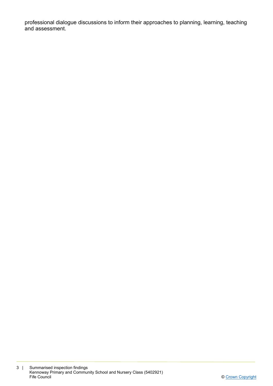professional dialogue discussions to inform their approaches to planning, learning, teaching and assessment.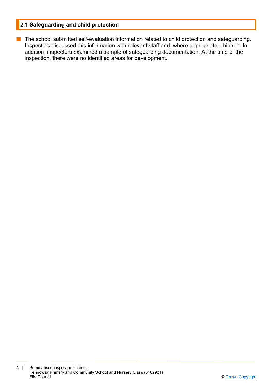# **2.1 Safeguarding and child protection**

**n** The school submitted self-evaluation information related to child protection and safeguarding. Inspectors discussed this information with relevant staff and, where appropriate, children. In addition, inspectors examined a sample of safeguarding documentation. At the time of the inspection, there were no identified areas for development.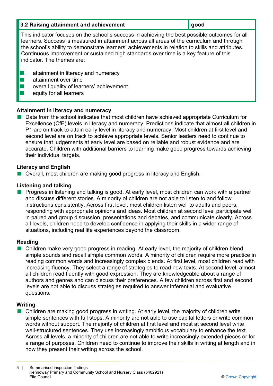| 3.2 Raising attainment and achievement                                                                                                                                                                                                                                                                                                                                                                                  | good |
|-------------------------------------------------------------------------------------------------------------------------------------------------------------------------------------------------------------------------------------------------------------------------------------------------------------------------------------------------------------------------------------------------------------------------|------|
| This indicator focuses on the school's success in achieving the best possible outcomes for all<br>learners. Success is measured in attainment across all areas of the curriculum and through<br>the school's ability to demonstrate learners' achievements in relation to skills and attributes.<br>Continuous improvement or sustained high standards over time is a key feature of this<br>indicator. The themes are: |      |
| attainment in literacy and numeracy<br>attainment over time<br>overall quality of learners' achievement                                                                                                                                                                                                                                                                                                                 |      |

equity for all learners

# **Attainment in literacy and numeracy**

Data from the school indicates that most children have achieved appropriate Curriculum for Excellence (CfE) levels in literacy and numeracy. Predictions indicate that almost all children in P1 are on track to attain early level in literacy and numeracy. Most children at first level and second level are on track to achieve appropriate levels. Senior leaders need to continue to ensure that judgements at early level are based on reliable and robust evidence and are accurate. Children with additional barriers to learning make good progress towards achieving their individual targets.

# **Literacy and English**

■ Overall, most children are making good progress in literacy and English.

# **Listening and talking**

**n** Progress in listening and talking is good. At early level, most children can work with a partner and discuss different stories. A minority of children are not able to listen to and follow instructions consistently. Across first level, most children listen well to adults and peers, responding with appropriate opinions and ideas. Most children at second level participate well in paired and group discussion, presentations and debates, and communicate clearly. Across all levels, children need to develop confidence in applying their skills in a wider range of situations, including real life experiences beyond the classroom.

# **Reading**

■ Children make very good progress in reading. At early level, the majority of children blend simple sounds and recall simple common words. A minority of children require more practice in reading common words and increasingly complex blends. At first level, most children read with increasing fluency. They select a range of strategies to read new texts. At second level, almost all children read fluently with good expression. They are knowledgeable about a range of authors and genres and can discuss their preferences. A few children across first and second levels are not able to discuss strategies required to answer inferential and evaluative questions.

#### **Writing**

 $\blacksquare$  Children are making good progress in writing. At early level, the majority of children write simple sentences with full stops. A minority are not able to use capital letters or write common words without support. The majority of children at first level and most at second level write well-structured sentences. They use increasingly ambitious vocabulary to enhance the text. Across all levels, a minority of children are not able to write increasingly extended pieces or for a range of purposes. Children need to continue to improve their skills in writing at length and in how they present their writing across the school.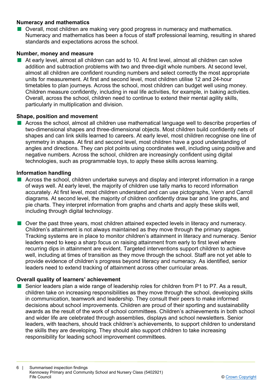# **Numeracy and mathematics**

**n** Overall, most children are making very good progress in numeracy and mathematics. Numeracy and mathematics has been a focus of staff professional learning, resulting in shared standards and expectations across the school.

#### **Number, money and measure**

n At early level, almost all children can add to 10. At first level, almost all children can solve addition and subtraction problems with two and three-digit whole numbers. At second level, almost all children are confident rounding numbers and select correctly the most appropriate units for measurement. At first and second level, most children utilise 12 and 24-hour timetables to plan journeys. Across the school, most children can budget well using money. Children measure confidently, including in real life activities, for example, in baking activities. Overall, across the school, children need to continue to extend their mental agility skills, particularly in multiplication and division.

# **Shape, position and movement**

n Across the school, almost all children use mathematical language well to describe properties of two-dimensional shapes and three-dimensional objects. Most children build confidently nets of shapes and can link skills learned to careers. At early level, most children recognise one line of symmetry in shapes. At first and second level, most children have a good understanding of angles and directions. They can plot points using coordinates well, including using positive and negative numbers. Across the school, children are increasingly confident using digital technologies, such as programmable toys, to apply these skills across learning.

#### **Information handling**

- $\blacksquare$  Across the school, children undertake surveys and display and interpret information in a range of ways well. At early level, the majority of children use tally marks to record information accurately. At first level, most children understand and can use pictographs, Venn and Carroll diagrams. At second level, the majority of children confidently draw bar and line graphs, and pie charts. They interpret information from graphs and charts and apply these skills well, including through digital technology.
- Over the past three vears, most children attained expected levels in literacy and numeracy. Children's attainment is not always maintained as they move through the primary stages. Tracking systems are in place to monitor children's attainment in literacy and numeracy. Senior leaders need to keep a sharp focus on raising attainment from early to first level where recurring dips in attainment are evident. Targeted interventions support children to achieve well, including at times of transition as they move through the school. Staff are not yet able to provide evidence of children's progress beyond literacy and numeracy. As identified, senior leaders need to extend tracking of attainment across other curricular areas.

# **Overall quality of learners' achievement**

Senior leaders plan a wide range of leadership roles for children from P1 to P7. As a result, children take on increasing responsibilities as they move through the school, developing skills in communication, teamwork and leadership. They consult their peers to make informed decisions about school improvements. Children are proud of their sporting and sustainability awards as the result of the work of school committees. Children's achievements in both school and wider life are celebrated through assemblies, displays and school newsletters. Senior leaders, with teachers, should track children's achievements, to support children to understand the skills they are developing. They should also support children to take increasing responsibility for leading school improvement committees.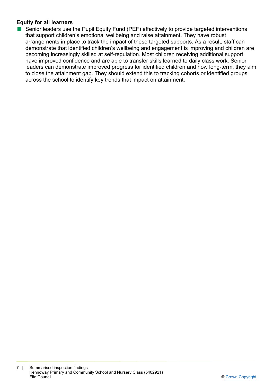# **Equity for all learners**

■ Senior leaders use the Pupil Equity Fund (PEF) effectively to provide targeted interventions that support children's emotional wellbeing and raise attainment. They have robust arrangements in place to track the impact of these targeted supports. As a result, staff can demonstrate that identified children's wellbeing and engagement is improving and children are becoming increasingly skilled at self-regulation. Most children receiving additional support have improved confidence and are able to transfer skills learned to daily class work. Senior leaders can demonstrate improved progress for identified children and how long-term, they aim to close the attainment gap. They should extend this to tracking cohorts or identified groups across the school to identify key trends that impact on attainment.